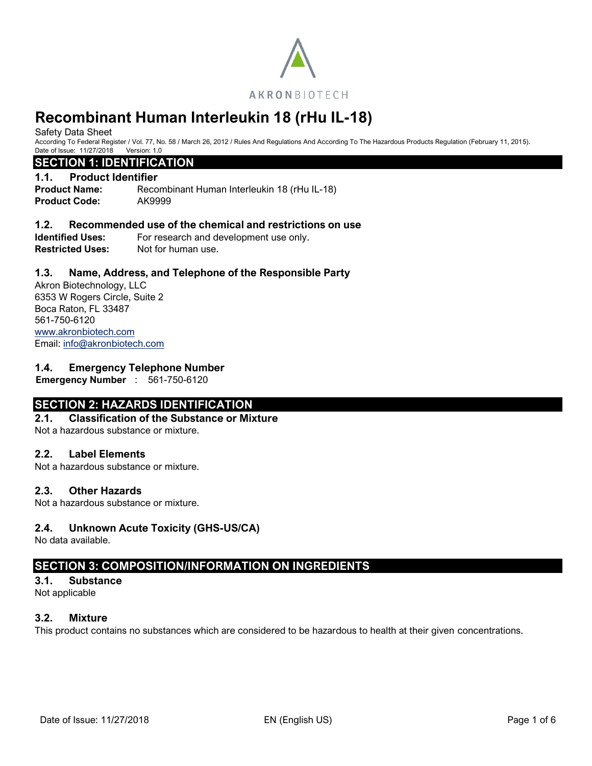

Safety Data Sheet

According To Federal Register / Vol. 77, No. 58 / March 26, 2012 / Rules And Regulations And According To The Hazardous Products Regulation (February 11, 2015). Date of Issue: 11/27/2018 Version: 1.0

# **SECTION 1: IDENTIFICATION**

# **1.1. Product Identifier**

**Product Name:** Recombinant Human Interleukin 18 (rHu IL-18) **Product Code:** AK9999

# **1.2. Recommended use of the chemical and restrictions on use**

**Identified Uses:** For research and development use only. **Restricted Uses:** Not for human use.

# **1.3. Name, Address, and Telephone of the Responsible Party**

Akron Biotechnology, LLC 6353 W Rogers Circle, Suite 2 Boca Raton, FL 33487 561-750-6120 [www.akronbiotech.com](http://www.akronbiotech.com/%3c/a) Email: [info@akronbiotech.com](mailto:info@akronbiotech.com)

# **1.4. Emergency Telephone Number**

**Emergency Number** : 561-750-6120

# **SECTION 2: HAZARDS IDENTIFICATION**

# **2.1. Classification of the Substance or Mixture**

Not a hazardous substance or mixture.

# **2.2. Label Elements**

Not a hazardous substance or mixture.

# **2.3. Other Hazards**

Not a hazardous substance or mixture.

# **2.4. Unknown Acute Toxicity (GHS-US/CA)**

No data available.

# **SECTION 3: COMPOSITION/INFORMATION ON INGREDIENTS**

#### **3.1. Substance**

Not applicable

# **3.2. Mixture**

This product contains no substances which are considered to be hazardous to health at their given concentrations.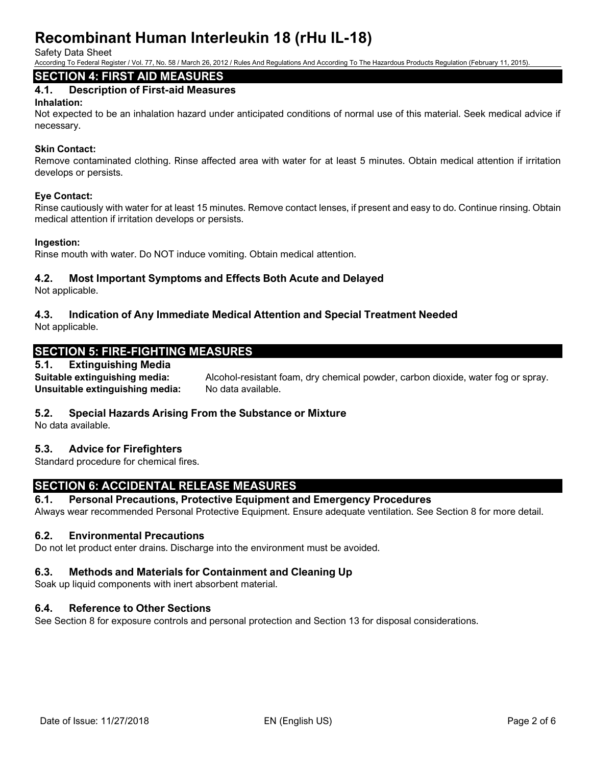Safety Data Sheet

According To Federal Register / Vol. 77, No. 58 / March 26, 2012 / Rules And Regulations And According To The Hazardous Products Regulation (February 11, 2015).

# **SECTION 4: FIRST AID MEASURES**

# **4.1. Description of First-aid Measures**

#### **Inhalation:**

Not expected to be an inhalation hazard under anticipated conditions of normal use of this material. Seek medical advice if necessary.

### **Skin Contact:**

Remove contaminated clothing. Rinse affected area with water for at least 5 minutes. Obtain medical attention if irritation develops or persists.

#### **Eye Contact:**

Rinse cautiously with water for at least 15 minutes. Remove contact lenses, if present and easy to do. Continue rinsing. Obtain medical attention if irritation develops or persists.

#### **Ingestion:**

Rinse mouth with water. Do NOT induce vomiting. Obtain medical attention.

# **4.2. Most Important Symptoms and Effects Both Acute and Delayed**

Not applicable.

# **4.3. Indication of Any Immediate Medical Attention and Special Treatment Needed**

Not applicable.

# **SECTION 5: FIRE-FIGHTING MEASURES**

# **5.1. Extinguishing Media**

**Suitable extinguishing media:** Alcohol-resistant foam, dry chemical powder, carbon dioxide, water fog or spray. Unsuitable extinguishing media: No data available.

# **5.2. Special Hazards Arising From the Substance or Mixture**

No data available.

# **5.3. Advice for Firefighters**

Standard procedure for chemical fires.

# **SECTION 6: ACCIDENTAL RELEASE MEASURES**

# **6.1. Personal Precautions, Protective Equipment and Emergency Procedures**

Always wear recommended Personal Protective Equipment. Ensure adequate ventilation. See Section 8 for more detail.

# **6.2. Environmental Precautions**

Do not let product enter drains. Discharge into the environment must be avoided.

# **6.3. Methods and Materials for Containment and Cleaning Up**

Soak up liquid components with inert absorbent material.

# **6.4. Reference to Other Sections**

See Section 8 for exposure controls and personal protection and Section 13 for disposal considerations.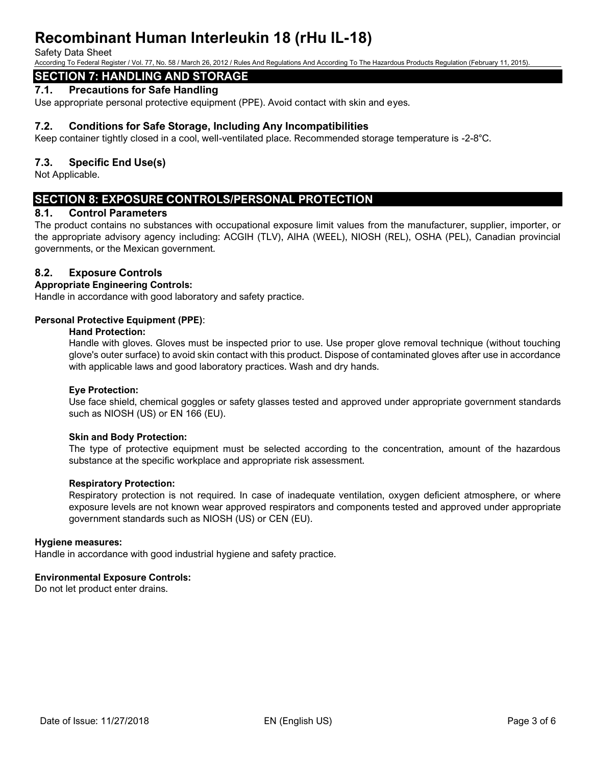#### Safety Data Sheet

According To Federal Register / Vol. 77, No. 58 / March 26, 2012 / Rules And Regulations And According To The Hazardous Products Regulation (February 11, 2015).

# **SECTION 7: HANDLING AND STORAGE**

# **7.1. Precautions for Safe Handling**

Use appropriate personal protective equipment (PPE). Avoid contact with skin and eyes.

# **7.2. Conditions for Safe Storage, Including Any Incompatibilities**

Keep container tightly closed in a cool, well-ventilated place. Recommended storage temperature is -2-8°C.

# **7.3. Specific End Use(s)**

Not Applicable.

# **SECTION 8: EXPOSURE CONTROLS/PERSONAL PROTECTION**

# **8.1. Control Parameters**

The product contains no substances with occupational exposure limit values from the manufacturer, supplier, importer, or the appropriate advisory agency including: ACGIH (TLV), AIHA (WEEL), NIOSH (REL), OSHA (PEL), Canadian provincial governments, or the Mexican government.

# **8.2. Exposure Controls**

#### **Appropriate Engineering Controls:**

Handle in accordance with good laboratory and safety practice.

#### **Personal Protective Equipment (PPE)**:

#### **Hand Protection:**

Handle with gloves. Gloves must be inspected prior to use. Use proper glove removal technique (without touching glove's outer surface) to avoid skin contact with this product. Dispose of contaminated gloves after use in accordance with applicable laws and good laboratory practices. Wash and dry hands.

#### **Eye Protection:**

Use face shield, chemical goggles or safety glasses tested and approved under appropriate government standards such as NIOSH (US) or EN 166 (EU).

#### **Skin and Body Protection:**

The type of protective equipment must be selected according to the concentration, amount of the hazardous substance at the specific workplace and appropriate risk assessment.

#### **Respiratory Protection:**

Respiratory protection is not required. In case of inadequate ventilation, oxygen deficient atmosphere, or where exposure levels are not known wear approved respirators and components tested and approved under appropriate government standards such as NIOSH (US) or CEN (EU).

#### **Hygiene measures:**

Handle in accordance with good industrial hygiene and safety practice.

#### **Environmental Exposure Controls:**

Do not let product enter drains.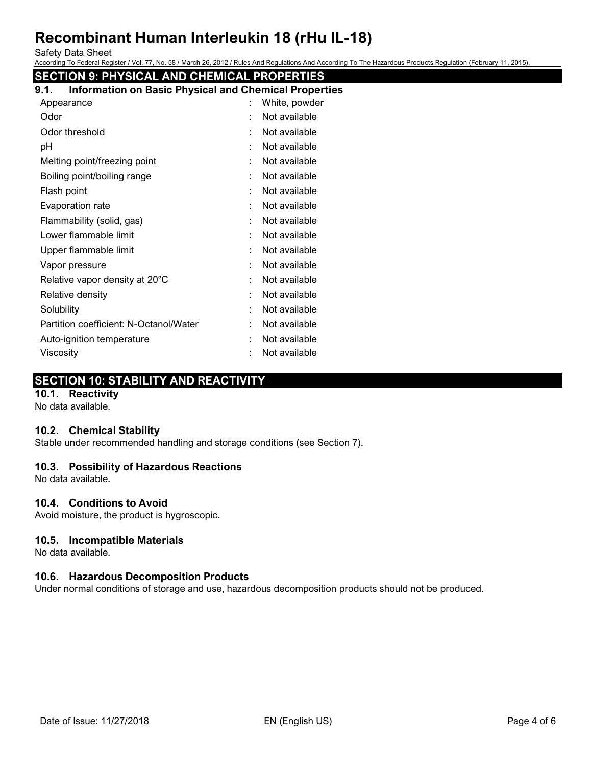Safety Data Sheet

According To Federal Register / Vol. 77, No. 58 / March 26, 2012 / Rules And Regulations And According To The Hazardous Products Regulation (February 11, 2015).

# **SECTION 9: PHYSICAL AND CHEMICAL PROPERTIES**

| Information on Basic Physical and Chemical Properties<br>9.1. |  |  |  |  |  |
|---------------------------------------------------------------|--|--|--|--|--|
| White, powder                                                 |  |  |  |  |  |
| Not available                                                 |  |  |  |  |  |
| Not available                                                 |  |  |  |  |  |
| Not available                                                 |  |  |  |  |  |
| Not available                                                 |  |  |  |  |  |
| Not available                                                 |  |  |  |  |  |
| Not available                                                 |  |  |  |  |  |
| Not available                                                 |  |  |  |  |  |
| Not available                                                 |  |  |  |  |  |
| Not available                                                 |  |  |  |  |  |
| Not available                                                 |  |  |  |  |  |
| Not available                                                 |  |  |  |  |  |
| Not available                                                 |  |  |  |  |  |
| Not available                                                 |  |  |  |  |  |
| Not available                                                 |  |  |  |  |  |
| Not available                                                 |  |  |  |  |  |
| Not available                                                 |  |  |  |  |  |
| Not available                                                 |  |  |  |  |  |
|                                                               |  |  |  |  |  |

# **SECTION 10: STABILITY AND REACTIVITY**

# **10.1. Reactivity**

No data available.

# **10.2. Chemical Stability**

Stable under recommended handling and storage conditions (see Section 7).

# **10.3. Possibility of Hazardous Reactions**

No data available.

# **10.4. Conditions to Avoid**

Avoid moisture, the product is hygroscopic.

# **10.5. Incompatible Materials**

No data available.

# **10.6. Hazardous Decomposition Products**

Under normal conditions of storage and use, hazardous decomposition products should not be produced.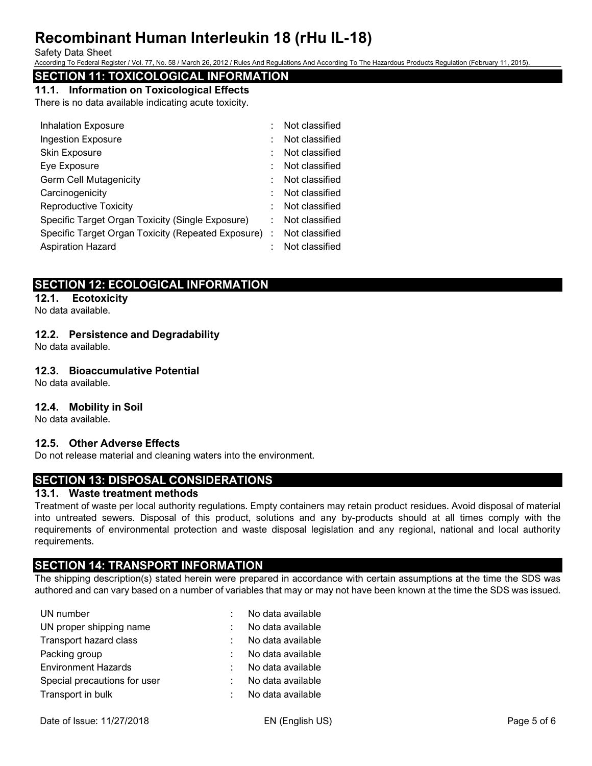#### Safety Data Sheet

According To Federal Register / Vol. 77, No. 58 / March 26, 2012 / Rules And Regulations And According To The Hazardous Products Regulation (February 11, 2015).

# **SECTION 11: TOXICOLOGICAL INFORMATION**

**11.1. Information on Toxicological Effects**

There is no data available indicating acute toxicity.

|    | Not classified                                       |
|----|------------------------------------------------------|
|    | Not classified                                       |
|    | Not classified                                       |
|    | Not classified                                       |
|    | Not classified                                       |
|    | Not classified                                       |
|    | Not classified                                       |
| ۰. | Not classified                                       |
|    | Not classified                                       |
|    | Not classified                                       |
|    | Specific Target Organ Toxicity (Repeated Exposure) : |

# **SECTION 12: ECOLOGICAL INFORMATION**

# **12.1. Ecotoxicity**

No data available.

# **12.2. Persistence and Degradability**

No data available.

# **12.3. Bioaccumulative Potential**

No data available.

# **12.4. Mobility in Soil**

No data available.

# **12.5. Other Adverse Effects**

Do not release material and cleaning waters into the environment.

# **SECTION 13: DISPOSAL CONSIDERATIONS**

# **13.1. Waste treatment methods**

Treatment of waste per local authority regulations. Empty containers may retain product residues. Avoid disposal of material into untreated sewers. Disposal of this product, solutions and any by-products should at all times comply with the requirements of environmental protection and waste disposal legislation and any regional, national and local authority requirements.

# **SECTION 14: TRANSPORT INFORMATION**

The shipping description(s) stated herein were prepared in accordance with certain assumptions at the time the SDS was authored and can vary based on a number of variables that may or may not have been known at the time the SDS was issued.

| UN number                    | No data available |
|------------------------------|-------------------|
| UN proper shipping name      | No data available |
| Transport hazard class       | No data available |
| Packing group                | No data available |
| <b>Environment Hazards</b>   | No data available |
| Special precautions for user | No data available |
| Transport in bulk            | No data available |
|                              |                   |